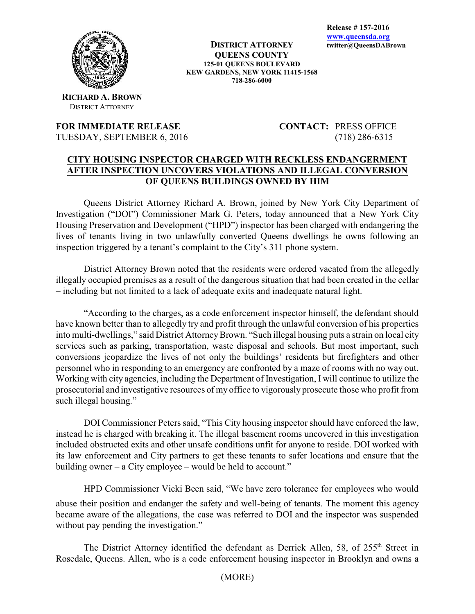

**RICHARD A. BROWN** DISTRICT ATTORNEY

## **FOR IMMEDIATE RELEASE CONTACT:** PRESS OFFICE TUESDAY, SEPTEMBER 6, 2016 (718) 286-6315

## **CITY HOUSING INSPECTOR CHARGED WITH RECKLESS ENDANGERMENT AFTER INSPECTION UNCOVERS VIOLATIONS AND ILLEGAL CONVERSION OF QUEENS BUILDINGS OWNED BY HIM**

Queens District Attorney Richard A. Brown, joined by New York City Department of Investigation ("DOI") Commissioner Mark G. Peters, today announced that a New York City Housing Preservation and Development ("HPD") inspector has been charged with endangering the lives of tenants living in two unlawfully converted Queens dwellings he owns following an inspection triggered by a tenant's complaint to the City's 311 phone system.

District Attorney Brown noted that the residents were ordered vacated from the allegedly illegally occupied premises as a result of the dangerous situation that had been created in the cellar – including but not limited to a lack of adequate exits and inadequate natural light.

"According to the charges, as a code enforcement inspector himself, the defendant should have known better than to allegedly try and profit through the unlawful conversion of his properties into multi-dwellings," said District Attorney Brown. "Such illegal housing puts a strain on local city services such as parking, transportation, waste disposal and schools. But most important, such conversions jeopardize the lives of not only the buildings' residents but firefighters and other personnel who in responding to an emergency are confronted by a maze of rooms with no way out. Working with city agencies, including the Department of Investigation, I will continue to utilize the prosecutorial and investigative resources of my office to vigorously prosecute those who profit from such illegal housing."

DOI Commissioner Peters said, "This City housing inspector should have enforced the law, instead he is charged with breaking it. The illegal basement rooms uncovered in this investigation included obstructed exits and other unsafe conditions unfit for anyone to reside. DOI worked with its law enforcement and City partners to get these tenants to safer locations and ensure that the building owner – a City employee – would be held to account."

HPD Commissioner Vicki Been said, "We have zero tolerance for employees who would abuse their position and endanger the safety and well-being of tenants. The moment this agency became aware of the allegations, the case was referred to DOI and the inspector was suspended without pay pending the investigation."

The District Attorney identified the defendant as Derrick Allen, 58, of 255<sup>th</sup> Street in Rosedale, Queens. Allen, who is a code enforcement housing inspector in Brooklyn and owns a